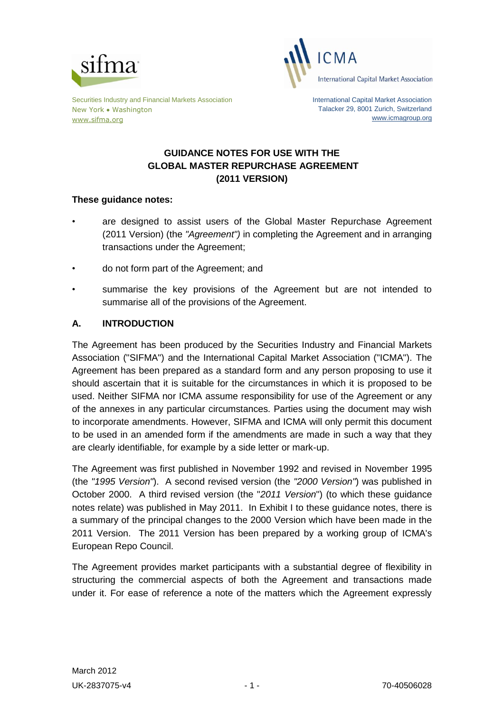



Securities Industry and Financial Markets Association New York • Washington [www.sifma.org](http://www.sifma.org/)

International Capital Market Association Talacker 29, 8001 Zurich, Switzerland [www.icmagroup.org](http://www.icmagroup.org/)

# **GUIDANCE NOTES FOR USE WITH THE GLOBAL MASTER REPURCHASE AGREEMENT (2011 VERSION)**

# **These guidance notes:**

- are designed to assist users of the Global Master Repurchase Agreement (2011 Version) (the *"Agreement")* in completing the Agreement and in arranging transactions under the Agreement;
- do not form part of the Agreement; and
- summarise the key provisions of the Agreement but are not intended to summarise all of the provisions of the Agreement.

# **A. INTRODUCTION**

The Agreement has been produced by the Securities Industry and Financial Markets Association ("SIFMA") and the International Capital Market Association ("ICMA"). The Agreement has been prepared as a standard form and any person proposing to use it should ascertain that it is suitable for the circumstances in which it is proposed to be used. Neither SIFMA nor ICMA assume responsibility for use of the Agreement or any of the annexes in any particular circumstances. Parties using the document may wish to incorporate amendments. However, SIFMA and ICMA will only permit this document to be used in an amended form if the amendments are made in such a way that they are clearly identifiable, for example by a side letter or mark-up.

The Agreement was first published in November 1992 and revised in November 1995 (the *"1995 Version"*). A second revised version (the *"2000 Version"*) was published in October 2000. A third revised version (the "*2011 Version*") (to which these guidance notes relate) was published in May 2011. In Exhibit I to these guidance notes, there is a summary of the principal changes to the 2000 Version which have been made in the 2011 Version. The 2011 Version has been prepared by a working group of ICMA's European Repo Council.

The Agreement provides market participants with a substantial degree of flexibility in structuring the commercial aspects of both the Agreement and transactions made under it. For ease of reference a note of the matters which the Agreement expressly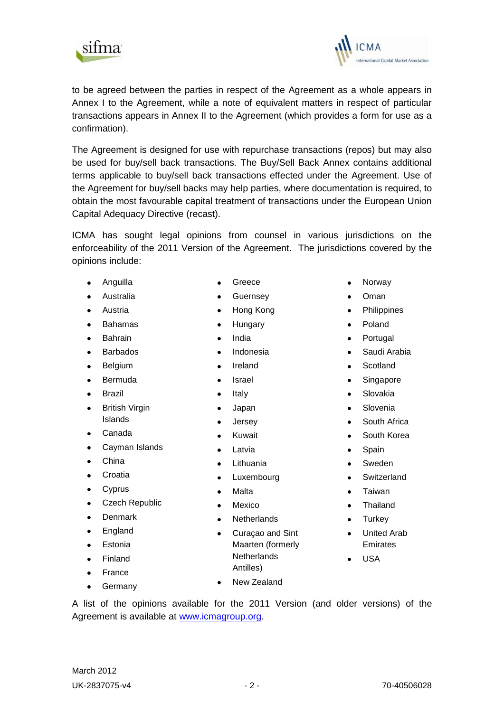to be agreed between the parties in respect of the Agreement as a whole appears in Annex I to the Agreement, while a note of equivalent matters in respect of particular transactions appears in Annex II to the Agreement (which provides a form for use as a confirmation).

The Agreement is designed for use with repurchase transactions (repos) but may also be used for buy/sell back transactions. The Buy/Sell Back Annex contains additional terms applicable to buy/sell back transactions effected under the Agreement. Use of the Agreement for buy/sell backs may help parties, where documentation is required, to obtain the most favourable capital treatment of transactions under the European Union Capital Adequacy Directive (recast).

ICMA has sought legal opinions from counsel in various jurisdictions on the enforceability of the 2011 Version of the Agreement. The jurisdictions covered by the opinions include:

Anguilla

sitma

- Australia
- Austria  $\bullet$
- Bahamas  $\bullet$
- Bahrain  $\bullet$
- Barbados  $\bullet$
- Belgium  $\bullet$
- $\bullet$ Bermuda
- Brazil  $\bullet$
- British Virgin  $\bullet$ Islands
- Canada  $\bullet$
- Cayman Islands
- China  $\bullet$
- $\bullet$ Croatia
- $\bullet$ Cyprus
- Czech Republic
- Denmark
- England
- Estonia
- Finland  $\bullet$
- France  $\bullet$
- **Germany**  $\bullet$
- Greece
- Guernsey
- Hong Kong  $\bullet$
- Hungary  $\bullet$
- India  $\bullet$
- Indonesia
- Ireland  $\bullet$
- Israel
- Italy
- Japan
- Jersey  $\bullet$
- Kuwait  $\bullet$
- Latvia  $\bullet$
- Lithuania  $\bullet$
- Luxembourg  $\bullet$
- Malta
- Mexico
- **Netherlands**
- Curaçao and Sint Maarten (formerly **Netherlands** Antilles)
- New Zealand

A list of the opinions available for the 2011 Version (and older versions) of the Agreement is available at [www.icmagroup.org.](http://www.icmagroup.org/)

- Norway
- Oman
- Philippines  $\bullet$
- Poland  $\bullet$
- Portugal  $\bullet$
- Saudi Arabia
- **Scotland**
- Singapore
- Slovakia
- Slovenia
- South Africa  $\bullet$
- South Korea
- Spain  $\bullet$
- Sweden
- **Switzerland**
- Taiwan
- Thailand
- **Turkey**  $\bullet$
- United Arab Emirates
- USA



mational Capital Market Association

- -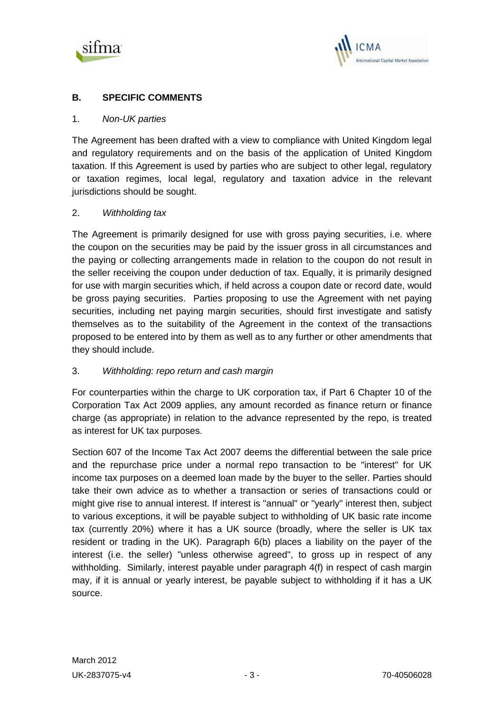



# **B. SPECIFIC COMMENTS**

#### 1. *Non-UK parties*

The Agreement has been drafted with a view to compliance with United Kingdom legal and regulatory requirements and on the basis of the application of United Kingdom taxation. If this Agreement is used by parties who are subject to other legal, regulatory or taxation regimes, local legal, regulatory and taxation advice in the relevant jurisdictions should be sought.

#### 2. *Withholding tax*

The Agreement is primarily designed for use with gross paying securities, i.e. where the coupon on the securities may be paid by the issuer gross in all circumstances and the paying or collecting arrangements made in relation to the coupon do not result in the seller receiving the coupon under deduction of tax. Equally, it is primarily designed for use with margin securities which, if held across a coupon date or record date, would be gross paying securities. Parties proposing to use the Agreement with net paying securities, including net paying margin securities, should first investigate and satisfy themselves as to the suitability of the Agreement in the context of the transactions proposed to be entered into by them as well as to any further or other amendments that they should include.

## 3. *Withholding: repo return and cash margin*

For counterparties within the charge to UK corporation tax, if Part 6 Chapter 10 of the Corporation Tax Act 2009 applies, any amount recorded as finance return or finance charge (as appropriate) in relation to the advance represented by the repo, is treated as interest for UK tax purposes.

Section 607 of the Income Tax Act 2007 deems the differential between the sale price and the repurchase price under a normal repo transaction to be "interest" for UK income tax purposes on a deemed loan made by the buyer to the seller. Parties should take their own advice as to whether a transaction or series of transactions could or might give rise to annual interest. If interest is "annual" or "yearly" interest then, subject to various exceptions, it will be payable subject to withholding of UK basic rate income tax (currently 20%) where it has a UK source (broadly, where the seller is UK tax resident or trading in the UK). Paragraph 6(b) places a liability on the payer of the interest (i.e. the seller) "unless otherwise agreed", to gross up in respect of any withholding. Similarly, interest payable under paragraph 4(f) in respect of cash margin may, if it is annual or yearly interest, be payable subject to withholding if it has a UK source.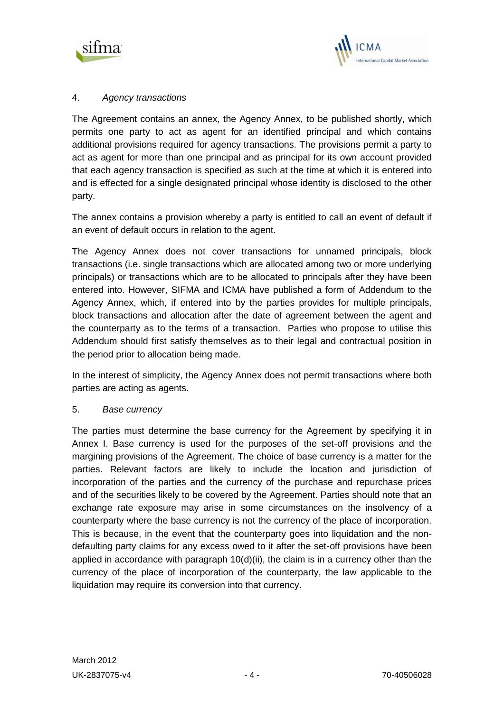



# 4. *Agency transactions*

The Agreement contains an annex, the Agency Annex, to be published shortly, which permits one party to act as agent for an identified principal and which contains additional provisions required for agency transactions. The provisions permit a party to act as agent for more than one principal and as principal for its own account provided that each agency transaction is specified as such at the time at which it is entered into and is effected for a single designated principal whose identity is disclosed to the other party.

The annex contains a provision whereby a party is entitled to call an event of default if an event of default occurs in relation to the agent.

The Agency Annex does not cover transactions for unnamed principals, block transactions (i.e. single transactions which are allocated among two or more underlying principals) or transactions which are to be allocated to principals after they have been entered into. However, SIFMA and ICMA have published a form of Addendum to the Agency Annex, which, if entered into by the parties provides for multiple principals, block transactions and allocation after the date of agreement between the agent and the counterparty as to the terms of a transaction. Parties who propose to utilise this Addendum should first satisfy themselves as to their legal and contractual position in the period prior to allocation being made.

In the interest of simplicity, the Agency Annex does not permit transactions where both parties are acting as agents.

## 5. *Base currency*

The parties must determine the base currency for the Agreement by specifying it in Annex I. Base currency is used for the purposes of the set-off provisions and the margining provisions of the Agreement. The choice of base currency is a matter for the parties. Relevant factors are likely to include the location and jurisdiction of incorporation of the parties and the currency of the purchase and repurchase prices and of the securities likely to be covered by the Agreement. Parties should note that an exchange rate exposure may arise in some circumstances on the insolvency of a counterparty where the base currency is not the currency of the place of incorporation. This is because, in the event that the counterparty goes into liquidation and the nondefaulting party claims for any excess owed to it after the set-off provisions have been applied in accordance with paragraph 10(d)(ii), the claim is in a currency other than the currency of the place of incorporation of the counterparty, the law applicable to the liquidation may require its conversion into that currency.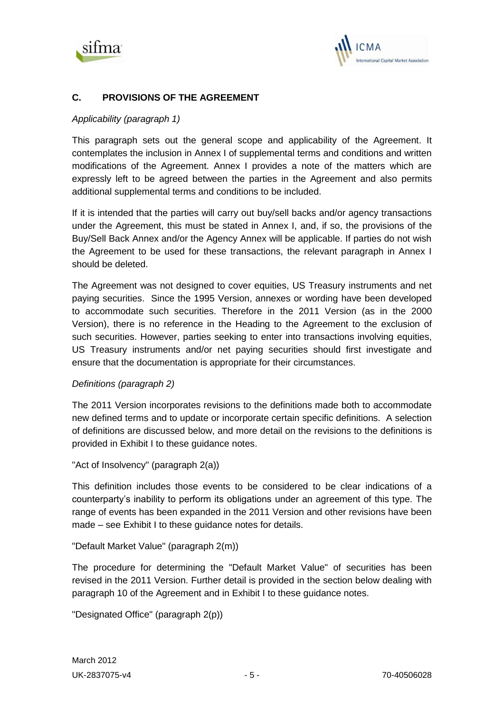



# **C. PROVISIONS OF THE AGREEMENT**

## *Applicability (paragraph 1)*

This paragraph sets out the general scope and applicability of the Agreement. It contemplates the inclusion in Annex I of supplemental terms and conditions and written modifications of the Agreement. Annex I provides a note of the matters which are expressly left to be agreed between the parties in the Agreement and also permits additional supplemental terms and conditions to be included.

If it is intended that the parties will carry out buy/sell backs and/or agency transactions under the Agreement, this must be stated in Annex I, and, if so, the provisions of the Buy/Sell Back Annex and/or the Agency Annex will be applicable. If parties do not wish the Agreement to be used for these transactions, the relevant paragraph in Annex I should be deleted.

The Agreement was not designed to cover equities, US Treasury instruments and net paying securities. Since the 1995 Version, annexes or wording have been developed to accommodate such securities. Therefore in the 2011 Version (as in the 2000 Version), there is no reference in the Heading to the Agreement to the exclusion of such securities. However, parties seeking to enter into transactions involving equities, US Treasury instruments and/or net paying securities should first investigate and ensure that the documentation is appropriate for their circumstances.

## *Definitions (paragraph 2)*

The 2011 Version incorporates revisions to the definitions made both to accommodate new defined terms and to update or incorporate certain specific definitions. A selection of definitions are discussed below, and more detail on the revisions to the definitions is provided in Exhibit I to these guidance notes.

```
"Act of Insolvency" (paragraph 2(a))
```
This definition includes those events to be considered to be clear indications of a counterparty's inability to perform its obligations under an agreement of this type. The range of events has been expanded in the 2011 Version and other revisions have been made – see Exhibit I to these guidance notes for details.

## "Default Market Value" (paragraph 2(m))

The procedure for determining the "Default Market Value" of securities has been revised in the 2011 Version. Further detail is provided in the section below dealing with paragraph 10 of the Agreement and in Exhibit I to these guidance notes.

```
"Designated Office" (paragraph 2(p))
```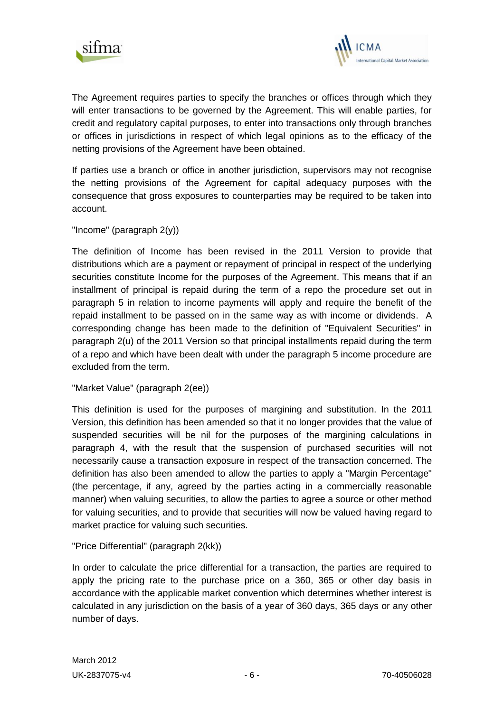



The Agreement requires parties to specify the branches or offices through which they will enter transactions to be governed by the Agreement. This will enable parties, for credit and regulatory capital purposes, to enter into transactions only through branches or offices in jurisdictions in respect of which legal opinions as to the efficacy of the netting provisions of the Agreement have been obtained.

If parties use a branch or office in another jurisdiction, supervisors may not recognise the netting provisions of the Agreement for capital adequacy purposes with the consequence that gross exposures to counterparties may be required to be taken into account.

## "Income" (paragraph 2(y))

The definition of Income has been revised in the 2011 Version to provide that distributions which are a payment or repayment of principal in respect of the underlying securities constitute Income for the purposes of the Agreement. This means that if an installment of principal is repaid during the term of a repo the procedure set out in paragraph 5 in relation to income payments will apply and require the benefit of the repaid installment to be passed on in the same way as with income or dividends. A corresponding change has been made to the definition of "Equivalent Securities" in paragraph 2(u) of the 2011 Version so that principal installments repaid during the term of a repo and which have been dealt with under the paragraph 5 income procedure are excluded from the term.

"Market Value" (paragraph 2(ee))

This definition is used for the purposes of margining and substitution. In the 2011 Version, this definition has been amended so that it no longer provides that the value of suspended securities will be nil for the purposes of the margining calculations in paragraph 4, with the result that the suspension of purchased securities will not necessarily cause a transaction exposure in respect of the transaction concerned. The definition has also been amended to allow the parties to apply a "Margin Percentage" (the percentage, if any, agreed by the parties acting in a commercially reasonable manner) when valuing securities, to allow the parties to agree a source or other method for valuing securities, and to provide that securities will now be valued having regard to market practice for valuing such securities.

"Price Differential" (paragraph 2(kk))

In order to calculate the price differential for a transaction, the parties are required to apply the pricing rate to the purchase price on a 360, 365 or other day basis in accordance with the applicable market convention which determines whether interest is calculated in any jurisdiction on the basis of a year of 360 days, 365 days or any other number of days.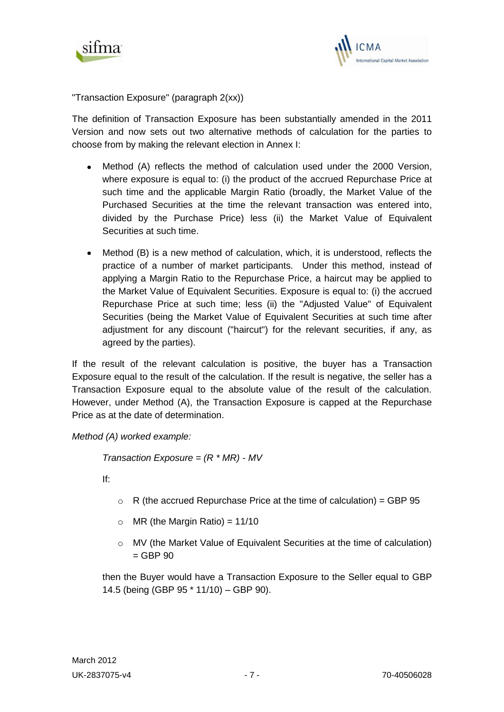



"Transaction Exposure" (paragraph 2(xx))

The definition of Transaction Exposure has been substantially amended in the 2011 Version and now sets out two alternative methods of calculation for the parties to choose from by making the relevant election in Annex I:

- Method (A) reflects the method of calculation used under the 2000 Version, where exposure is equal to: (i) the product of the accrued Repurchase Price at such time and the applicable Margin Ratio (broadly, the Market Value of the Purchased Securities at the time the relevant transaction was entered into, divided by the Purchase Price) less (ii) the Market Value of Equivalent Securities at such time.
- Method (B) is a new method of calculation, which, it is understood, reflects the practice of a number of market participants. Under this method, instead of applying a Margin Ratio to the Repurchase Price, a haircut may be applied to the Market Value of Equivalent Securities. Exposure is equal to: (i) the accrued Repurchase Price at such time; less (ii) the "Adjusted Value" of Equivalent Securities (being the Market Value of Equivalent Securities at such time after adjustment for any discount ("haircut") for the relevant securities, if any, as agreed by the parties).

If the result of the relevant calculation is positive, the buyer has a Transaction Exposure equal to the result of the calculation. If the result is negative, the seller has a Transaction Exposure equal to the absolute value of the result of the calculation. However, under Method (A), the Transaction Exposure is capped at the Repurchase Price as at the date of determination.

*Method (A) worked example:*

*Transaction Exposure = (R \* MR) - MV*

If:

- $\circ$  R (the accrued Repurchase Price at the time of calculation) = GBP 95
- $\circ$  MR (the Margin Ratio) = 11/10
- o MV (the Market Value of Equivalent Securities at the time of calculation)  $=$  GBP 90

then the Buyer would have a Transaction Exposure to the Seller equal to GBP 14.5 (being (GBP 95 \* 11/10) – GBP 90).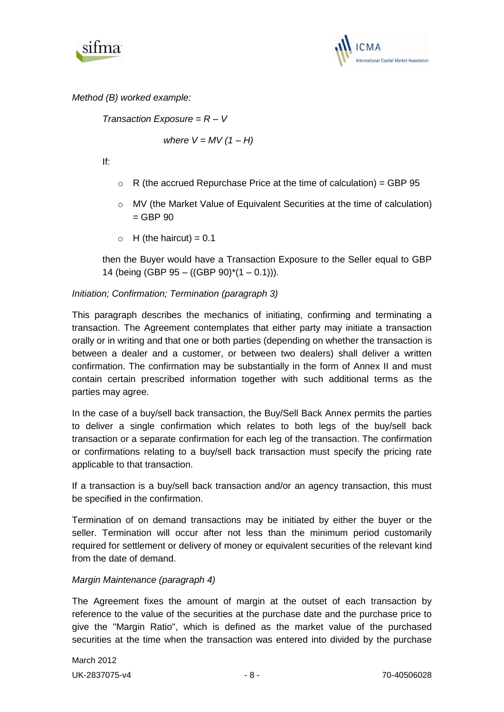



*Method (B) worked example:*

*Transaction Exposure = R – V* 

*where*  $V = MV(1 - H)$ 

If:

- $\circ$  R (the accrued Repurchase Price at the time of calculation) = GBP 95
- o MV (the Market Value of Equivalent Securities at the time of calculation)  $=$  GBP 90
- $\circ$  H (the haircut) = 0.1

then the Buyer would have a Transaction Exposure to the Seller equal to GBP 14 (being (GBP 95 – ((GBP 90) $*(1 - 0.1))$ ).

# *Initiation; Confirmation; Termination (paragraph 3)*

This paragraph describes the mechanics of initiating, confirming and terminating a transaction. The Agreement contemplates that either party may initiate a transaction orally or in writing and that one or both parties (depending on whether the transaction is between a dealer and a customer, or between two dealers) shall deliver a written confirmation. The confirmation may be substantially in the form of Annex II and must contain certain prescribed information together with such additional terms as the parties may agree.

In the case of a buy/sell back transaction, the Buy/Sell Back Annex permits the parties to deliver a single confirmation which relates to both legs of the buy/sell back transaction or a separate confirmation for each leg of the transaction. The confirmation or confirmations relating to a buy/sell back transaction must specify the pricing rate applicable to that transaction.

If a transaction is a buy/sell back transaction and/or an agency transaction, this must be specified in the confirmation.

Termination of on demand transactions may be initiated by either the buyer or the seller. Termination will occur after not less than the minimum period customarily required for settlement or delivery of money or equivalent securities of the relevant kind from the date of demand.

## *Margin Maintenance (paragraph 4)*

The Agreement fixes the amount of margin at the outset of each transaction by reference to the value of the securities at the purchase date and the purchase price to give the "Margin Ratio", which is defined as the market value of the purchased securities at the time when the transaction was entered into divided by the purchase

March 2012 UK-2837075-v4 - 8 - 8 - 70-40506028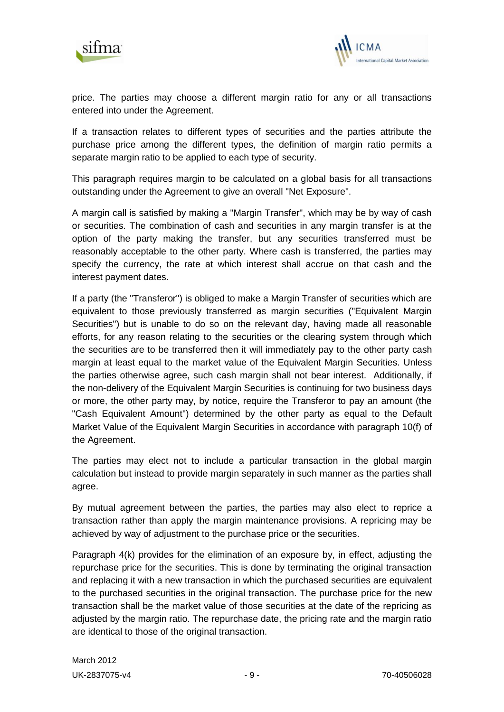



price. The parties may choose a different margin ratio for any or all transactions entered into under the Agreement.

If a transaction relates to different types of securities and the parties attribute the purchase price among the different types, the definition of margin ratio permits a separate margin ratio to be applied to each type of security.

This paragraph requires margin to be calculated on a global basis for all transactions outstanding under the Agreement to give an overall "Net Exposure".

A margin call is satisfied by making a "Margin Transfer", which may be by way of cash or securities. The combination of cash and securities in any margin transfer is at the option of the party making the transfer, but any securities transferred must be reasonably acceptable to the other party. Where cash is transferred, the parties may specify the currency, the rate at which interest shall accrue on that cash and the interest payment dates.

If a party (the "Transferor") is obliged to make a Margin Transfer of securities which are equivalent to those previously transferred as margin securities ("Equivalent Margin Securities") but is unable to do so on the relevant day, having made all reasonable efforts, for any reason relating to the securities or the clearing system through which the securities are to be transferred then it will immediately pay to the other party cash margin at least equal to the market value of the Equivalent Margin Securities. Unless the parties otherwise agree, such cash margin shall not bear interest. Additionally, if the non-delivery of the Equivalent Margin Securities is continuing for two business days or more, the other party may, by notice, require the Transferor to pay an amount (the "Cash Equivalent Amount") determined by the other party as equal to the Default Market Value of the Equivalent Margin Securities in accordance with paragraph 10(f) of the Agreement.

The parties may elect not to include a particular transaction in the global margin calculation but instead to provide margin separately in such manner as the parties shall agree.

By mutual agreement between the parties, the parties may also elect to reprice a transaction rather than apply the margin maintenance provisions. A repricing may be achieved by way of adjustment to the purchase price or the securities.

Paragraph 4(k) provides for the elimination of an exposure by, in effect, adjusting the repurchase price for the securities. This is done by terminating the original transaction and replacing it with a new transaction in which the purchased securities are equivalent to the purchased securities in the original transaction. The purchase price for the new transaction shall be the market value of those securities at the date of the repricing as adjusted by the margin ratio. The repurchase date, the pricing rate and the margin ratio are identical to those of the original transaction.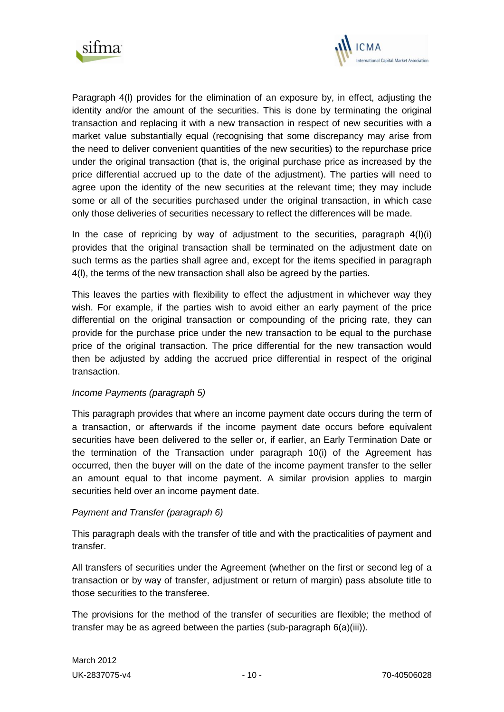



Paragraph 4(l) provides for the elimination of an exposure by, in effect, adjusting the identity and/or the amount of the securities. This is done by terminating the original transaction and replacing it with a new transaction in respect of new securities with a market value substantially equal (recognising that some discrepancy may arise from the need to deliver convenient quantities of the new securities) to the repurchase price under the original transaction (that is, the original purchase price as increased by the price differential accrued up to the date of the adjustment). The parties will need to agree upon the identity of the new securities at the relevant time; they may include some or all of the securities purchased under the original transaction, in which case only those deliveries of securities necessary to reflect the differences will be made.

In the case of repricing by way of adjustment to the securities, paragraph  $4(1)(i)$ provides that the original transaction shall be terminated on the adjustment date on such terms as the parties shall agree and, except for the items specified in paragraph 4(l), the terms of the new transaction shall also be agreed by the parties.

This leaves the parties with flexibility to effect the adjustment in whichever way they wish. For example, if the parties wish to avoid either an early payment of the price differential on the original transaction or compounding of the pricing rate, they can provide for the purchase price under the new transaction to be equal to the purchase price of the original transaction. The price differential for the new transaction would then be adjusted by adding the accrued price differential in respect of the original transaction.

## *Income Payments (paragraph 5)*

This paragraph provides that where an income payment date occurs during the term of a transaction, or afterwards if the income payment date occurs before equivalent securities have been delivered to the seller or, if earlier, an Early Termination Date or the termination of the Transaction under paragraph 10(i) of the Agreement has occurred, then the buyer will on the date of the income payment transfer to the seller an amount equal to that income payment. A similar provision applies to margin securities held over an income payment date.

## *Payment and Transfer (paragraph 6)*

This paragraph deals with the transfer of title and with the practicalities of payment and transfer.

All transfers of securities under the Agreement (whether on the first or second leg of a transaction or by way of transfer, adjustment or return of margin) pass absolute title to those securities to the transferee.

The provisions for the method of the transfer of securities are flexible; the method of transfer may be as agreed between the parties (sub-paragraph 6(a)(iii)).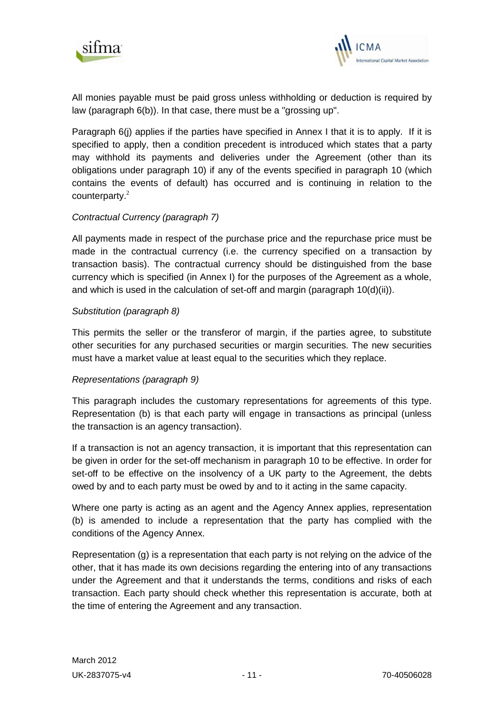



All monies payable must be paid gross unless withholding or deduction is required by law (paragraph 6(b)). In that case, there must be a "grossing up".

Paragraph 6(j) applies if the parties have specified in Annex I that it is to apply. If it is specified to apply, then a condition precedent is introduced which states that a party may withhold its payments and deliveries under the Agreement (other than its obligations under paragraph 10) if any of the events specified in paragraph 10 (which contains the events of default) has occurred and is continuing in relation to the counterparty.<sup>2</sup>

# *Contractual Currency (paragraph 7)*

All payments made in respect of the purchase price and the repurchase price must be made in the contractual currency (i.e. the currency specified on a transaction by transaction basis). The contractual currency should be distinguished from the base currency which is specified (in Annex I) for the purposes of the Agreement as a whole, and which is used in the calculation of set-off and margin (paragraph 10(d)(ii)).

## *Substitution (paragraph 8)*

This permits the seller or the transferor of margin, if the parties agree, to substitute other securities for any purchased securities or margin securities. The new securities must have a market value at least equal to the securities which they replace.

## *Representations (paragraph 9)*

This paragraph includes the customary representations for agreements of this type. Representation (b) is that each party will engage in transactions as principal (unless the transaction is an agency transaction).

If a transaction is not an agency transaction, it is important that this representation can be given in order for the set-off mechanism in paragraph 10 to be effective. In order for set-off to be effective on the insolvency of a UK party to the Agreement, the debts owed by and to each party must be owed by and to it acting in the same capacity.

Where one party is acting as an agent and the Agency Annex applies, representation (b) is amended to include a representation that the party has complied with the conditions of the Agency Annex.

Representation (g) is a representation that each party is not relying on the advice of the other, that it has made its own decisions regarding the entering into of any transactions under the Agreement and that it understands the terms, conditions and risks of each transaction. Each party should check whether this representation is accurate, both at the time of entering the Agreement and any transaction.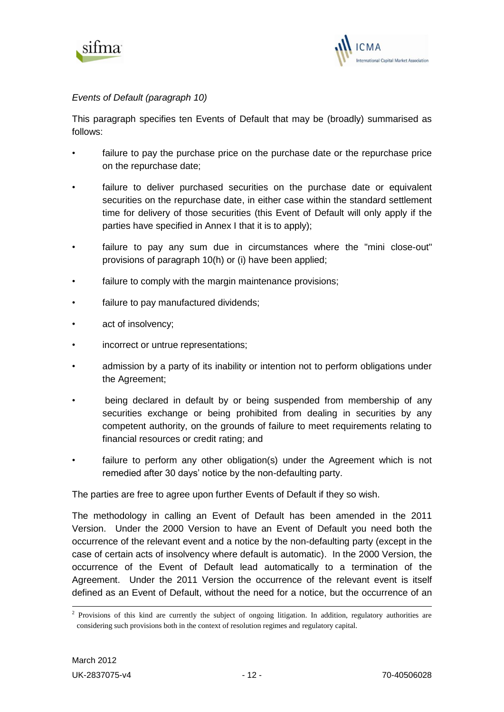



# *Events of Default (paragraph 10)*

This paragraph specifies ten Events of Default that may be (broadly) summarised as follows:

- failure to pay the purchase price on the purchase date or the repurchase price on the repurchase date;
- failure to deliver purchased securities on the purchase date or equivalent securities on the repurchase date, in either case within the standard settlement time for delivery of those securities (this Event of Default will only apply if the parties have specified in Annex I that it is to apply);
- failure to pay any sum due in circumstances where the "mini close-out" provisions of paragraph 10(h) or (i) have been applied;
- failure to comply with the margin maintenance provisions;
- failure to pay manufactured dividends;
- act of insolvency;
- incorrect or untrue representations;
- admission by a party of its inability or intention not to perform obligations under the Agreement;
- being declared in default by or being suspended from membership of any securities exchange or being prohibited from dealing in securities by any competent authority, on the grounds of failure to meet requirements relating to financial resources or credit rating; and
- failure to perform any other obligation(s) under the Agreement which is not remedied after 30 days' notice by the non-defaulting party.

The parties are free to agree upon further Events of Default if they so wish.

The methodology in calling an Event of Default has been amended in the 2011 Version. Under the 2000 Version to have an Event of Default you need both the occurrence of the relevant event and a notice by the non-defaulting party (except in the case of certain acts of insolvency where default is automatic). In the 2000 Version, the occurrence of the Event of Default lead automatically to a termination of the Agreement. Under the 2011 Version the occurrence of the relevant event is itself defined as an Event of Default, without the need for a notice, but the occurrence of an

<sup>&</sup>lt;sup>2</sup> Provisions of this kind are currently the subject of ongoing litigation. In addition, regulatory authorities are considering such provisions both in the context of resolution regimes and regulatory capital.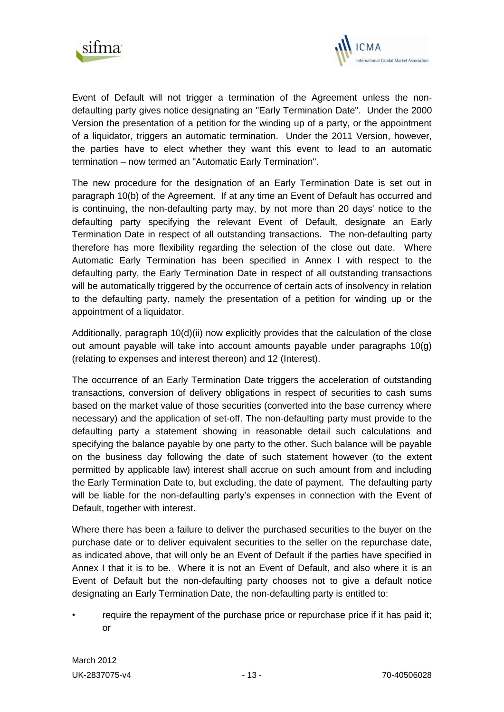



Event of Default will not trigger a termination of the Agreement unless the nondefaulting party gives notice designating an "Early Termination Date". Under the 2000 Version the presentation of a petition for the winding up of a party, or the appointment of a liquidator, triggers an automatic termination. Under the 2011 Version, however, the parties have to elect whether they want this event to lead to an automatic termination – now termed an "Automatic Early Termination".

The new procedure for the designation of an Early Termination Date is set out in paragraph 10(b) of the Agreement. If at any time an Event of Default has occurred and is continuing, the non-defaulting party may, by not more than 20 days' notice to the defaulting party specifying the relevant Event of Default, designate an Early Termination Date in respect of all outstanding transactions. The non-defaulting party therefore has more flexibility regarding the selection of the close out date. Where Automatic Early Termination has been specified in Annex I with respect to the defaulting party, the Early Termination Date in respect of all outstanding transactions will be automatically triggered by the occurrence of certain acts of insolvency in relation to the defaulting party, namely the presentation of a petition for winding up or the appointment of a liquidator.

Additionally, paragraph 10(d)(ii) now explicitly provides that the calculation of the close out amount payable will take into account amounts payable under paragraphs 10(g) (relating to expenses and interest thereon) and 12 (Interest).

The occurrence of an Early Termination Date triggers the acceleration of outstanding transactions, conversion of delivery obligations in respect of securities to cash sums based on the market value of those securities (converted into the base currency where necessary) and the application of set-off. The non-defaulting party must provide to the defaulting party a statement showing in reasonable detail such calculations and specifying the balance payable by one party to the other. Such balance will be payable on the business day following the date of such statement however (to the extent permitted by applicable law) interest shall accrue on such amount from and including the Early Termination Date to, but excluding, the date of payment. The defaulting party will be liable for the non-defaulting party's expenses in connection with the Event of Default, together with interest.

Where there has been a failure to deliver the purchased securities to the buyer on the purchase date or to deliver equivalent securities to the seller on the repurchase date, as indicated above, that will only be an Event of Default if the parties have specified in Annex I that it is to be. Where it is not an Event of Default, and also where it is an Event of Default but the non-defaulting party chooses not to give a default notice designating an Early Termination Date, the non-defaulting party is entitled to:

require the repayment of the purchase price or repurchase price if it has paid it; or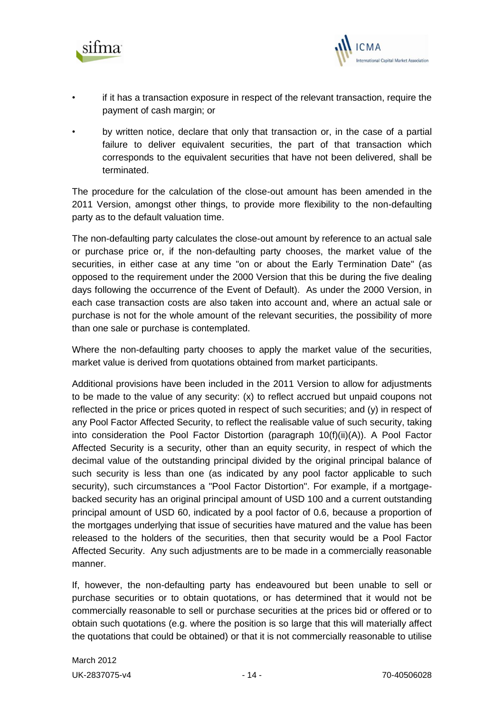



- if it has a transaction exposure in respect of the relevant transaction, require the payment of cash margin; or
- by written notice, declare that only that transaction or, in the case of a partial failure to deliver equivalent securities, the part of that transaction which corresponds to the equivalent securities that have not been delivered, shall be terminated.

The procedure for the calculation of the close-out amount has been amended in the 2011 Version, amongst other things, to provide more flexibility to the non-defaulting party as to the default valuation time.

The non-defaulting party calculates the close-out amount by reference to an actual sale or purchase price or, if the non-defaulting party chooses, the market value of the securities, in either case at any time "on or about the Early Termination Date" (as opposed to the requirement under the 2000 Version that this be during the five dealing days following the occurrence of the Event of Default). As under the 2000 Version, in each case transaction costs are also taken into account and, where an actual sale or purchase is not for the whole amount of the relevant securities, the possibility of more than one sale or purchase is contemplated.

Where the non-defaulting party chooses to apply the market value of the securities, market value is derived from quotations obtained from market participants.

Additional provisions have been included in the 2011 Version to allow for adjustments to be made to the value of any security: (x) to reflect accrued but unpaid coupons not reflected in the price or prices quoted in respect of such securities; and (y) in respect of any Pool Factor Affected Security, to reflect the realisable value of such security, taking into consideration the Pool Factor Distortion (paragraph 10(f)(ii)(A)). A Pool Factor Affected Security is a security, other than an equity security, in respect of which the decimal value of the outstanding principal divided by the original principal balance of such security is less than one (as indicated by any pool factor applicable to such security), such circumstances a "Pool Factor Distortion". For example, if a mortgagebacked security has an original principal amount of USD 100 and a current outstanding principal amount of USD 60, indicated by a pool factor of 0.6, because a proportion of the mortgages underlying that issue of securities have matured and the value has been released to the holders of the securities, then that security would be a Pool Factor Affected Security. Any such adjustments are to be made in a commercially reasonable manner.

If, however, the non-defaulting party has endeavoured but been unable to sell or purchase securities or to obtain quotations, or has determined that it would not be commercially reasonable to sell or purchase securities at the prices bid or offered or to obtain such quotations (e.g. where the position is so large that this will materially affect the quotations that could be obtained) or that it is not commercially reasonable to utilise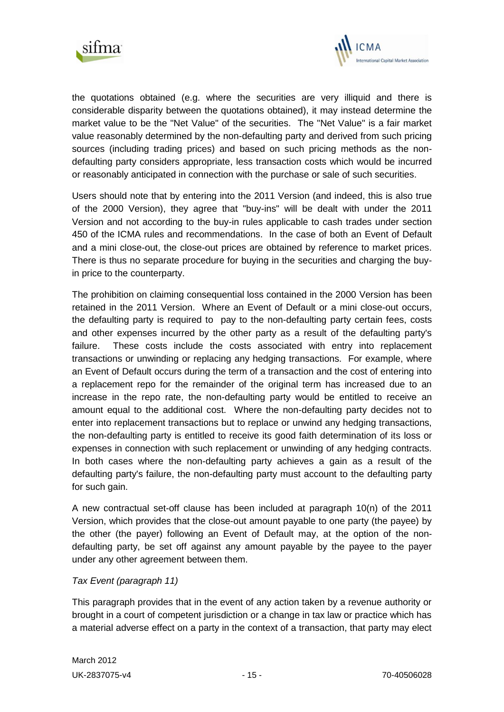



the quotations obtained (e.g. where the securities are very illiquid and there is considerable disparity between the quotations obtained), it may instead determine the market value to be the "Net Value" of the securities. The "Net Value" is a fair market value reasonably determined by the non-defaulting party and derived from such pricing sources (including trading prices) and based on such pricing methods as the nondefaulting party considers appropriate, less transaction costs which would be incurred or reasonably anticipated in connection with the purchase or sale of such securities.

Users should note that by entering into the 2011 Version (and indeed, this is also true of the 2000 Version), they agree that "buy-ins" will be dealt with under the 2011 Version and not according to the buy-in rules applicable to cash trades under section 450 of the ICMA rules and recommendations. In the case of both an Event of Default and a mini close-out, the close-out prices are obtained by reference to market prices. There is thus no separate procedure for buying in the securities and charging the buyin price to the counterparty.

The prohibition on claiming consequential loss contained in the 2000 Version has been retained in the 2011 Version. Where an Event of Default or a mini close-out occurs, the defaulting party is required to pay to the non-defaulting party certain fees, costs and other expenses incurred by the other party as a result of the defaulting party's failure. These costs include the costs associated with entry into replacement transactions or unwinding or replacing any hedging transactions. For example, where an Event of Default occurs during the term of a transaction and the cost of entering into a replacement repo for the remainder of the original term has increased due to an increase in the repo rate, the non-defaulting party would be entitled to receive an amount equal to the additional cost. Where the non-defaulting party decides not to enter into replacement transactions but to replace or unwind any hedging transactions, the non-defaulting party is entitled to receive its good faith determination of its loss or expenses in connection with such replacement or unwinding of any hedging contracts. In both cases where the non-defaulting party achieves a gain as a result of the defaulting party's failure, the non-defaulting party must account to the defaulting party for such gain.

A new contractual set-off clause has been included at paragraph 10(n) of the 2011 Version, which provides that the close-out amount payable to one party (the payee) by the other (the payer) following an Event of Default may, at the option of the nondefaulting party, be set off against any amount payable by the payee to the payer under any other agreement between them.

## *Tax Event (paragraph 11)*

This paragraph provides that in the event of any action taken by a revenue authority or brought in a court of competent jurisdiction or a change in tax law or practice which has a material adverse effect on a party in the context of a transaction, that party may elect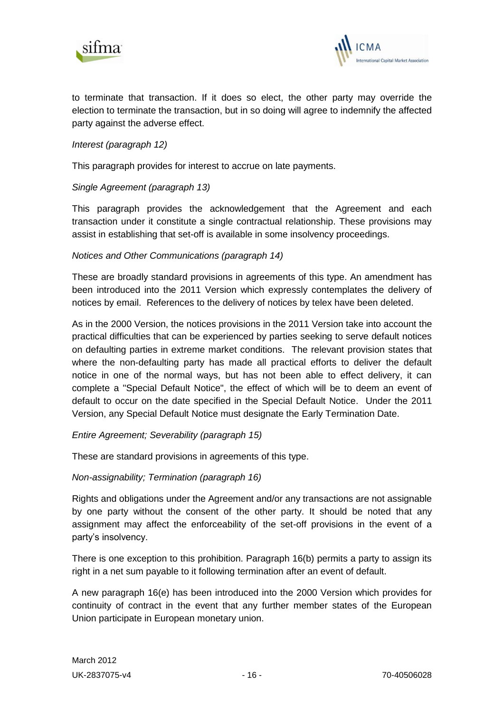



to terminate that transaction. If it does so elect, the other party may override the election to terminate the transaction, but in so doing will agree to indemnify the affected party against the adverse effect.

## *Interest (paragraph 12)*

This paragraph provides for interest to accrue on late payments.

## *Single Agreement (paragraph 13)*

This paragraph provides the acknowledgement that the Agreement and each transaction under it constitute a single contractual relationship. These provisions may assist in establishing that set-off is available in some insolvency proceedings.

## *Notices and Other Communications (paragraph 14)*

These are broadly standard provisions in agreements of this type. An amendment has been introduced into the 2011 Version which expressly contemplates the delivery of notices by email. References to the delivery of notices by telex have been deleted.

As in the 2000 Version, the notices provisions in the 2011 Version take into account the practical difficulties that can be experienced by parties seeking to serve default notices on defaulting parties in extreme market conditions. The relevant provision states that where the non-defaulting party has made all practical efforts to deliver the default notice in one of the normal ways, but has not been able to effect delivery, it can complete a "Special Default Notice", the effect of which will be to deem an event of default to occur on the date specified in the Special Default Notice. Under the 2011 Version, any Special Default Notice must designate the Early Termination Date.

*Entire Agreement; Severability (paragraph 15)*

These are standard provisions in agreements of this type.

*Non-assignability; Termination (paragraph 16)*

Rights and obligations under the Agreement and/or any transactions are not assignable by one party without the consent of the other party. It should be noted that any assignment may affect the enforceability of the set-off provisions in the event of a party's insolvency.

There is one exception to this prohibition. Paragraph 16(b) permits a party to assign its right in a net sum payable to it following termination after an event of default.

A new paragraph 16(e) has been introduced into the 2000 Version which provides for continuity of contract in the event that any further member states of the European Union participate in European monetary union.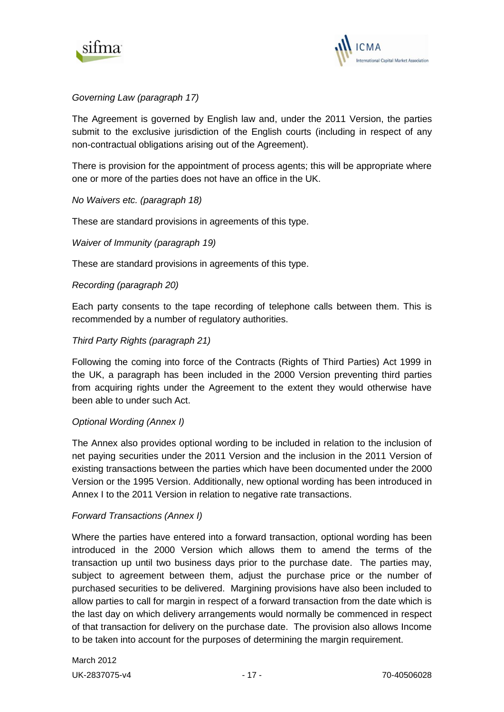



# *Governing Law (paragraph 17)*

The Agreement is governed by English law and, under the 2011 Version, the parties submit to the exclusive jurisdiction of the English courts (including in respect of any non-contractual obligations arising out of the Agreement).

There is provision for the appointment of process agents; this will be appropriate where one or more of the parties does not have an office in the UK.

#### *No Waivers etc. (paragraph 18)*

These are standard provisions in agreements of this type.

#### *Waiver of Immunity (paragraph 19)*

These are standard provisions in agreements of this type.

#### *Recording (paragraph 20)*

Each party consents to the tape recording of telephone calls between them. This is recommended by a number of regulatory authorities.

## *Third Party Rights (paragraph 21)*

Following the coming into force of the Contracts (Rights of Third Parties) Act 1999 in the UK, a paragraph has been included in the 2000 Version preventing third parties from acquiring rights under the Agreement to the extent they would otherwise have been able to under such Act.

#### *Optional Wording (Annex I)*

The Annex also provides optional wording to be included in relation to the inclusion of net paying securities under the 2011 Version and the inclusion in the 2011 Version of existing transactions between the parties which have been documented under the 2000 Version or the 1995 Version. Additionally, new optional wording has been introduced in Annex I to the 2011 Version in relation to negative rate transactions.

#### *Forward Transactions (Annex I)*

Where the parties have entered into a forward transaction, optional wording has been introduced in the 2000 Version which allows them to amend the terms of the transaction up until two business days prior to the purchase date. The parties may, subject to agreement between them, adjust the purchase price or the number of purchased securities to be delivered. Margining provisions have also been included to allow parties to call for margin in respect of a forward transaction from the date which is the last day on which delivery arrangements would normally be commenced in respect of that transaction for delivery on the purchase date. The provision also allows Income to be taken into account for the purposes of determining the margin requirement.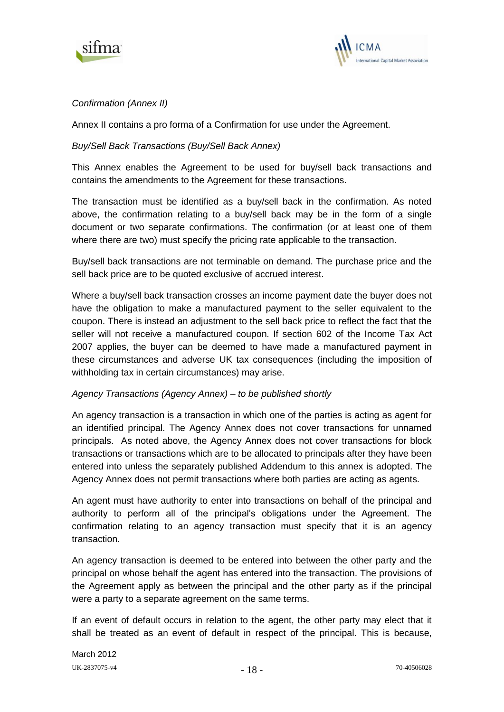



# *Confirmation (Annex II)*

Annex II contains a pro forma of a Confirmation for use under the Agreement.

# *Buy/Sell Back Transactions (Buy/Sell Back Annex)*

This Annex enables the Agreement to be used for buy/sell back transactions and contains the amendments to the Agreement for these transactions.

The transaction must be identified as a buy/sell back in the confirmation. As noted above, the confirmation relating to a buy/sell back may be in the form of a single document or two separate confirmations. The confirmation (or at least one of them where there are two) must specify the pricing rate applicable to the transaction.

Buy/sell back transactions are not terminable on demand. The purchase price and the sell back price are to be quoted exclusive of accrued interest.

Where a buy/sell back transaction crosses an income payment date the buyer does not have the obligation to make a manufactured payment to the seller equivalent to the coupon. There is instead an adjustment to the sell back price to reflect the fact that the seller will not receive a manufactured coupon. If section 602 of the Income Tax Act 2007 applies, the buyer can be deemed to have made a manufactured payment in these circumstances and adverse UK tax consequences (including the imposition of withholding tax in certain circumstances) may arise.

## *Agency Transactions (Agency Annex) – to be published shortly*

An agency transaction is a transaction in which one of the parties is acting as agent for an identified principal. The Agency Annex does not cover transactions for unnamed principals. As noted above, the Agency Annex does not cover transactions for block transactions or transactions which are to be allocated to principals after they have been entered into unless the separately published Addendum to this annex is adopted. The Agency Annex does not permit transactions where both parties are acting as agents.

An agent must have authority to enter into transactions on behalf of the principal and authority to perform all of the principal's obligations under the Agreement. The confirmation relating to an agency transaction must specify that it is an agency transaction.

An agency transaction is deemed to be entered into between the other party and the principal on whose behalf the agent has entered into the transaction. The provisions of the Agreement apply as between the principal and the other party as if the principal were a party to a separate agreement on the same terms.

If an event of default occurs in relation to the agent, the other party may elect that it shall be treated as an event of default in respect of the principal. This is because,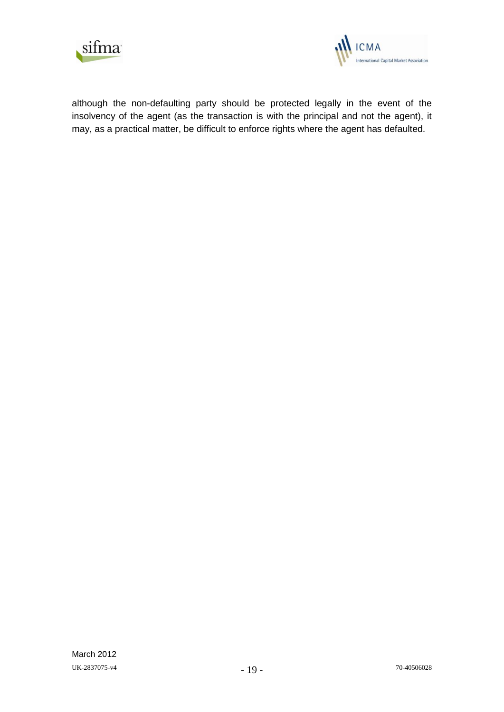



although the non-defaulting party should be protected legally in the event of the insolvency of the agent (as the transaction is with the principal and not the agent), it may, as a practical matter, be difficult to enforce rights where the agent has defaulted.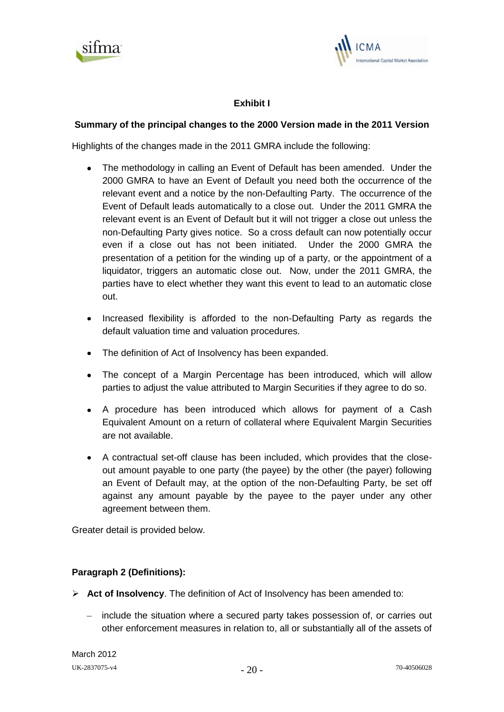



# **Exhibit I**

# **Summary of the principal changes to the 2000 Version made in the 2011 Version**

Highlights of the changes made in the 2011 GMRA include the following:

- The methodology in calling an Event of Default has been amended. Under the 2000 GMRA to have an Event of Default you need both the occurrence of the relevant event and a notice by the non-Defaulting Party. The occurrence of the Event of Default leads automatically to a close out. Under the 2011 GMRA the relevant event is an Event of Default but it will not trigger a close out unless the non-Defaulting Party gives notice. So a cross default can now potentially occur even if a close out has not been initiated. Under the 2000 GMRA the presentation of a petition for the winding up of a party, or the appointment of a liquidator, triggers an automatic close out. Now, under the 2011 GMRA, the parties have to elect whether they want this event to lead to an automatic close out.
- Increased flexibility is afforded to the non-Defaulting Party as regards the default valuation time and valuation procedures.
- The definition of Act of Insolvency has been expanded.
- The concept of a Margin Percentage has been introduced, which will allow parties to adjust the value attributed to Margin Securities if they agree to do so.
- A procedure has been introduced which allows for payment of a Cash Equivalent Amount on a return of collateral where Equivalent Margin Securities are not available.
- A contractual set-off clause has been included, which provides that the closeout amount payable to one party (the payee) by the other (the payer) following an Event of Default may, at the option of the non-Defaulting Party, be set off against any amount payable by the payee to the payer under any other agreement between them.

Greater detail is provided below.

# **Paragraph 2 (Definitions):**

- **Act of Insolvency**. The definition of Act of Insolvency has been amended to:
	- include the situation where a secured party takes possession of, or carries out other enforcement measures in relation to, all or substantially all of the assets of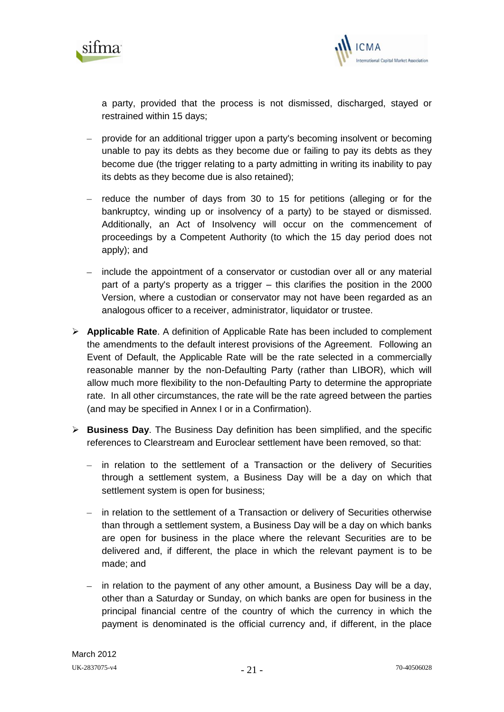



a party, provided that the process is not dismissed, discharged, stayed or restrained within 15 days;

- provide for an additional trigger upon a party's becoming insolvent or becoming unable to pay its debts as they become due or failing to pay its debts as they become due (the trigger relating to a party admitting in writing its inability to pay its debts as they become due is also retained);
- $-$  reduce the number of days from 30 to 15 for petitions (alleging or for the bankruptcy, winding up or insolvency of a party) to be stayed or dismissed. Additionally, an Act of Insolvency will occur on the commencement of proceedings by a Competent Authority (to which the 15 day period does not apply); and
- include the appointment of a conservator or custodian over all or any material part of a party's property as a trigger – this clarifies the position in the 2000 Version, where a custodian or conservator may not have been regarded as an analogous officer to a receiver, administrator, liquidator or trustee.
- **Applicable Rate**. A definition of Applicable Rate has been included to complement the amendments to the default interest provisions of the Agreement. Following an Event of Default, the Applicable Rate will be the rate selected in a commercially reasonable manner by the non-Defaulting Party (rather than LIBOR), which will allow much more flexibility to the non-Defaulting Party to determine the appropriate rate. In all other circumstances, the rate will be the rate agreed between the parties (and may be specified in Annex I or in a Confirmation).
- **Business Day**. The Business Day definition has been simplified, and the specific references to Clearstream and Euroclear settlement have been removed, so that:
	- in relation to the settlement of a Transaction or the delivery of Securities through a settlement system, a Business Day will be a day on which that settlement system is open for business;
	- in relation to the settlement of a Transaction or delivery of Securities otherwise than through a settlement system, a Business Day will be a day on which banks are open for business in the place where the relevant Securities are to be delivered and, if different, the place in which the relevant payment is to be made; and
	- in relation to the payment of any other amount, a Business Day will be a day, other than a Saturday or Sunday, on which banks are open for business in the principal financial centre of the country of which the currency in which the payment is denominated is the official currency and, if different, in the place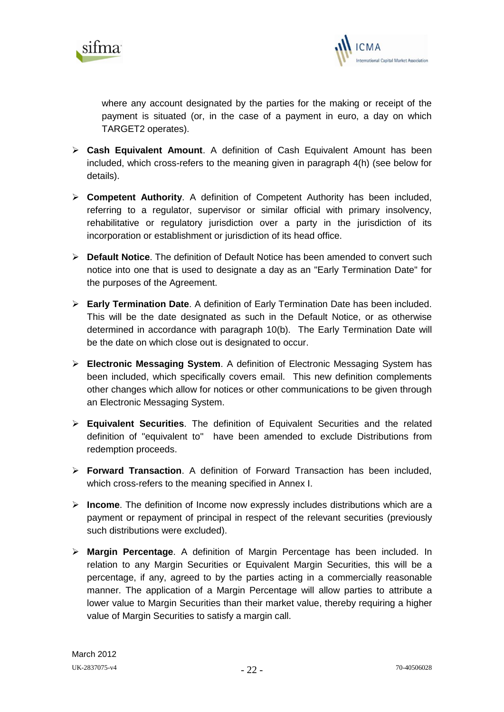



where any account designated by the parties for the making or receipt of the payment is situated (or, in the case of a payment in euro, a day on which TARGET2 operates).

- **Cash Equivalent Amount**. A definition of Cash Equivalent Amount has been included, which cross-refers to the meaning given in paragraph 4(h) (see below for details).
- **Competent Authority**. A definition of Competent Authority has been included, referring to a regulator, supervisor or similar official with primary insolvency, rehabilitative or regulatory jurisdiction over a party in the jurisdiction of its incorporation or establishment or jurisdiction of its head office.
- **Default Notice**. The definition of Default Notice has been amended to convert such notice into one that is used to designate a day as an "Early Termination Date" for the purposes of the Agreement.
- **Early Termination Date**. A definition of Early Termination Date has been included. This will be the date designated as such in the Default Notice, or as otherwise determined in accordance with paragraph 10(b). The Early Termination Date will be the date on which close out is designated to occur.
- **Electronic Messaging System**. A definition of Electronic Messaging System has been included, which specifically covers email. This new definition complements other changes which allow for notices or other communications to be given through an Electronic Messaging System.
- **Equivalent Securities**. The definition of Equivalent Securities and the related definition of "equivalent to" have been amended to exclude Distributions from redemption proceeds.
- **Forward Transaction**. A definition of Forward Transaction has been included, which cross-refers to the meaning specified in Annex I.
- **Income**. The definition of Income now expressly includes distributions which are a payment or repayment of principal in respect of the relevant securities (previously such distributions were excluded).
- **Margin Percentage**. A definition of Margin Percentage has been included. In relation to any Margin Securities or Equivalent Margin Securities, this will be a percentage, if any, agreed to by the parties acting in a commercially reasonable manner. The application of a Margin Percentage will allow parties to attribute a lower value to Margin Securities than their market value, thereby requiring a higher value of Margin Securities to satisfy a margin call.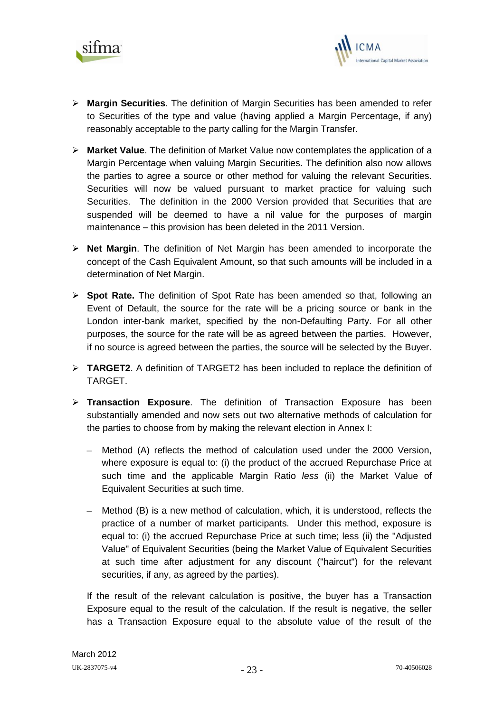



- **Margin Securities**. The definition of Margin Securities has been amended to refer to Securities of the type and value (having applied a Margin Percentage, if any) reasonably acceptable to the party calling for the Margin Transfer.
- **Market Value**. The definition of Market Value now contemplates the application of a Margin Percentage when valuing Margin Securities. The definition also now allows the parties to agree a source or other method for valuing the relevant Securities. Securities will now be valued pursuant to market practice for valuing such Securities. The definition in the 2000 Version provided that Securities that are suspended will be deemed to have a nil value for the purposes of margin maintenance – this provision has been deleted in the 2011 Version.
- **Net Margin**. The definition of Net Margin has been amended to incorporate the concept of the Cash Equivalent Amount, so that such amounts will be included in a determination of Net Margin.
- **Spot Rate.** The definition of Spot Rate has been amended so that, following an Event of Default, the source for the rate will be a pricing source or bank in the London inter-bank market, specified by the non-Defaulting Party. For all other purposes, the source for the rate will be as agreed between the parties. However, if no source is agreed between the parties, the source will be selected by the Buyer.
- **TARGET2**. A definition of TARGET2 has been included to replace the definition of TARGET.
- **Transaction Exposure**. The definition of Transaction Exposure has been substantially amended and now sets out two alternative methods of calculation for the parties to choose from by making the relevant election in Annex I:
	- Method (A) reflects the method of calculation used under the 2000 Version, where exposure is equal to: (i) the product of the accrued Repurchase Price at such time and the applicable Margin Ratio *less* (ii) the Market Value of Equivalent Securities at such time.
	- Method (B) is a new method of calculation, which, it is understood, reflects the  $\equiv$  . practice of a number of market participants. Under this method, exposure is equal to: (i) the accrued Repurchase Price at such time; less (ii) the "Adjusted Value" of Equivalent Securities (being the Market Value of Equivalent Securities at such time after adjustment for any discount ("haircut") for the relevant securities, if any, as agreed by the parties).

If the result of the relevant calculation is positive, the buyer has a Transaction Exposure equal to the result of the calculation. If the result is negative, the seller has a Transaction Exposure equal to the absolute value of the result of the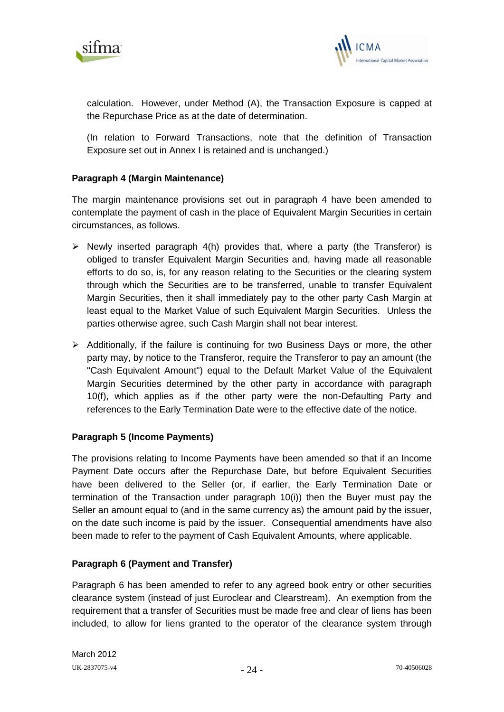



calculation. However, under Method (A), the Transaction Exposure is capped at the Repurchase Price as at the date of determination.

(In relation to Forward Transactions, note that the definition of Transaction Exposure set out in Annex I is retained and is unchanged.)

# **Paragraph 4 (Margin Maintenance)**

The margin maintenance provisions set out in paragraph 4 have been amended to contemplate the payment of cash in the place of Equivalent Margin Securities in certain circumstances, as follows.

- $\triangleright$  Newly inserted paragraph 4(h) provides that, where a party (the Transferor) is obliged to transfer Equivalent Margin Securities and, having made all reasonable efforts to do so, is, for any reason relating to the Securities or the clearing system through which the Securities are to be transferred, unable to transfer Equivalent Margin Securities, then it shall immediately pay to the other party Cash Margin at least equal to the Market Value of such Equivalent Margin Securities. Unless the parties otherwise agree, such Cash Margin shall not bear interest.
- $\triangleright$  Additionally, if the failure is continuing for two Business Days or more, the other party may, by notice to the Transferor, require the Transferor to pay an amount (the "Cash Equivalent Amount") equal to the Default Market Value of the Equivalent Margin Securities determined by the other party in accordance with paragraph 10(f), which applies as if the other party were the non-Defaulting Party and references to the Early Termination Date were to the effective date of the notice.

## **Paragraph 5 (Income Payments)**

The provisions relating to Income Payments have been amended so that if an Income Payment Date occurs after the Repurchase Date, but before Equivalent Securities have been delivered to the Seller (or, if earlier, the Early Termination Date or termination of the Transaction under paragraph 10(i)) then the Buyer must pay the Seller an amount equal to (and in the same currency as) the amount paid by the issuer, on the date such income is paid by the issuer. Consequential amendments have also been made to refer to the payment of Cash Equivalent Amounts, where applicable.

## **Paragraph 6 (Payment and Transfer)**

Paragraph 6 has been amended to refer to any agreed book entry or other securities clearance system (instead of just Euroclear and Clearstream). An exemption from the requirement that a transfer of Securities must be made free and clear of liens has been included, to allow for liens granted to the operator of the clearance system through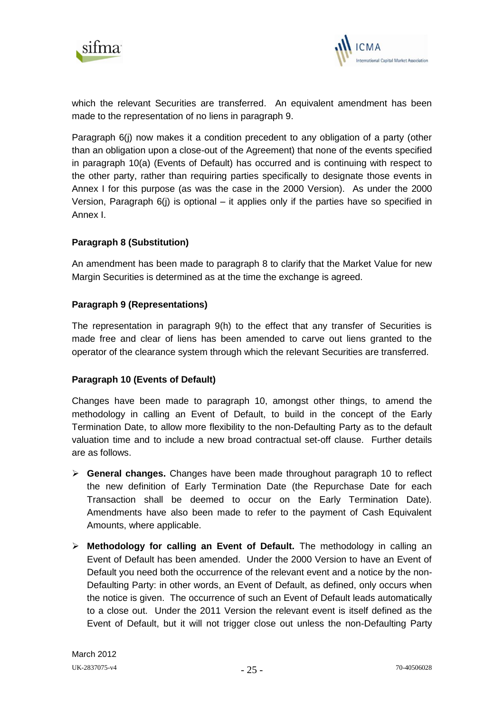



which the relevant Securities are transferred. An equivalent amendment has been made to the representation of no liens in paragraph 9.

Paragraph 6(j) now makes it a condition precedent to any obligation of a party (other than an obligation upon a close-out of the Agreement) that none of the events specified in paragraph 10(a) (Events of Default) has occurred and is continuing with respect to the other party, rather than requiring parties specifically to designate those events in Annex I for this purpose (as was the case in the 2000 Version). As under the 2000 Version, Paragraph 6(j) is optional – it applies only if the parties have so specified in Annex I.

# **Paragraph 8 (Substitution)**

An amendment has been made to paragraph 8 to clarify that the Market Value for new Margin Securities is determined as at the time the exchange is agreed.

# **Paragraph 9 (Representations)**

The representation in paragraph 9(h) to the effect that any transfer of Securities is made free and clear of liens has been amended to carve out liens granted to the operator of the clearance system through which the relevant Securities are transferred.

## **Paragraph 10 (Events of Default)**

Changes have been made to paragraph 10, amongst other things, to amend the methodology in calling an Event of Default, to build in the concept of the Early Termination Date, to allow more flexibility to the non-Defaulting Party as to the default valuation time and to include a new broad contractual set-off clause. Further details are as follows.

- **General changes.** Changes have been made throughout paragraph 10 to reflect the new definition of Early Termination Date (the Repurchase Date for each Transaction shall be deemed to occur on the Early Termination Date). Amendments have also been made to refer to the payment of Cash Equivalent Amounts, where applicable.
- **Methodology for calling an Event of Default.** The methodology in calling an Event of Default has been amended. Under the 2000 Version to have an Event of Default you need both the occurrence of the relevant event and a notice by the non-Defaulting Party: in other words, an Event of Default, as defined, only occurs when the notice is given. The occurrence of such an Event of Default leads automatically to a close out. Under the 2011 Version the relevant event is itself defined as the Event of Default, but it will not trigger close out unless the non-Defaulting Party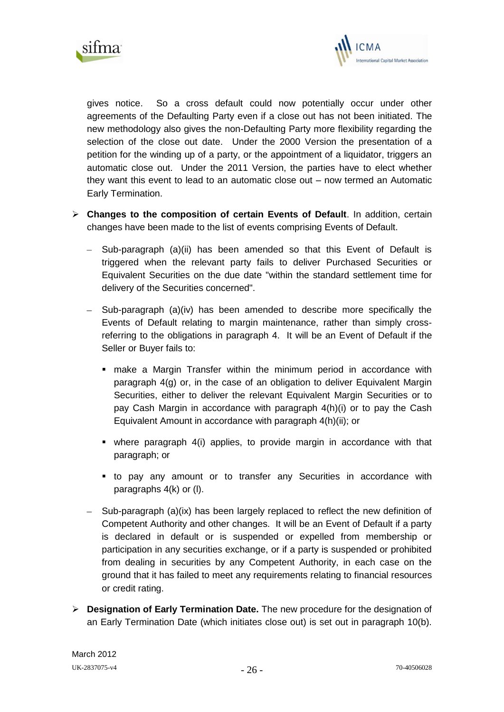



gives notice. So a cross default could now potentially occur under other agreements of the Defaulting Party even if a close out has not been initiated. The new methodology also gives the non-Defaulting Party more flexibility regarding the selection of the close out date. Under the 2000 Version the presentation of a petition for the winding up of a party, or the appointment of a liquidator, triggers an automatic close out. Under the 2011 Version, the parties have to elect whether they want this event to lead to an automatic close out – now termed an Automatic Early Termination.

- **Changes to the composition of certain Events of Default**. In addition, certain changes have been made to the list of events comprising Events of Default.
	- Sub-paragraph (a)(ii) has been amended so that this Event of Default is triggered when the relevant party fails to deliver Purchased Securities or Equivalent Securities on the due date "within the standard settlement time for delivery of the Securities concerned".
	- $-$  Sub-paragraph (a)(iv) has been amended to describe more specifically the Events of Default relating to margin maintenance, rather than simply crossreferring to the obligations in paragraph 4. It will be an Event of Default if the Seller or Buyer fails to:
		- make a Margin Transfer within the minimum period in accordance with paragraph 4(g) or, in the case of an obligation to deliver Equivalent Margin Securities, either to deliver the relevant Equivalent Margin Securities or to pay Cash Margin in accordance with paragraph 4(h)(i) or to pay the Cash Equivalent Amount in accordance with paragraph 4(h)(ii); or
		- where paragraph 4(i) applies, to provide margin in accordance with that paragraph; or
		- to pay any amount or to transfer any Securities in accordance with paragraphs 4(k) or (l).
	- Sub-paragraph (a)(ix) has been largely replaced to reflect the new definition of Competent Authority and other changes. It will be an Event of Default if a party is declared in default or is suspended or expelled from membership or participation in any securities exchange, or if a party is suspended or prohibited from dealing in securities by any Competent Authority, in each case on the ground that it has failed to meet any requirements relating to financial resources or credit rating.
- **Designation of Early Termination Date.** The new procedure for the designation of an Early Termination Date (which initiates close out) is set out in paragraph 10(b).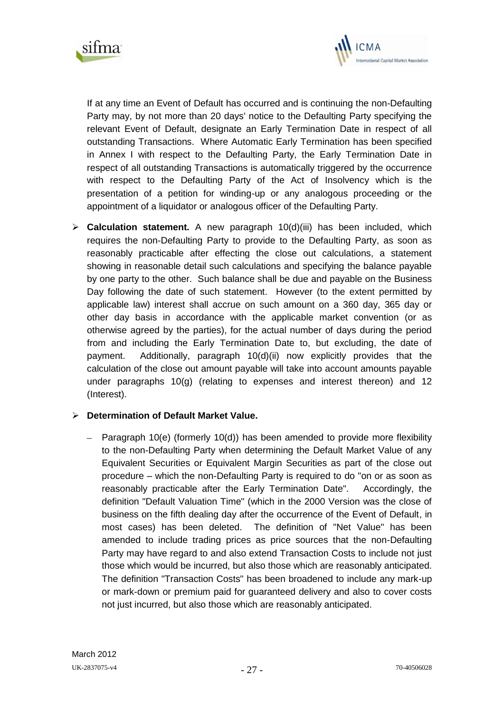



If at any time an Event of Default has occurred and is continuing the non-Defaulting Party may, by not more than 20 days' notice to the Defaulting Party specifying the relevant Event of Default, designate an Early Termination Date in respect of all outstanding Transactions. Where Automatic Early Termination has been specified in Annex I with respect to the Defaulting Party, the Early Termination Date in respect of all outstanding Transactions is automatically triggered by the occurrence with respect to the Defaulting Party of the Act of Insolvency which is the presentation of a petition for winding-up or any analogous proceeding or the appointment of a liquidator or analogous officer of the Defaulting Party.

 **Calculation statement.** A new paragraph 10(d)(iii) has been included, which requires the non-Defaulting Party to provide to the Defaulting Party, as soon as reasonably practicable after effecting the close out calculations, a statement showing in reasonable detail such calculations and specifying the balance payable by one party to the other. Such balance shall be due and payable on the Business Day following the date of such statement. However (to the extent permitted by applicable law) interest shall accrue on such amount on a 360 day, 365 day or other day basis in accordance with the applicable market convention (or as otherwise agreed by the parties), for the actual number of days during the period from and including the Early Termination Date to, but excluding, the date of payment. Additionally, paragraph 10(d)(ii) now explicitly provides that the calculation of the close out amount payable will take into account amounts payable under paragraphs 10(g) (relating to expenses and interest thereon) and 12 (Interest).

## **Determination of Default Market Value.**

Paragraph 10(e) (formerly 10(d)) has been amended to provide more flexibility to the non-Defaulting Party when determining the Default Market Value of any Equivalent Securities or Equivalent Margin Securities as part of the close out procedure – which the non-Defaulting Party is required to do "on or as soon as reasonably practicable after the Early Termination Date". Accordingly, the definition "Default Valuation Time" (which in the 2000 Version was the close of business on the fifth dealing day after the occurrence of the Event of Default, in most cases) has been deleted. The definition of "Net Value" has been amended to include trading prices as price sources that the non-Defaulting Party may have regard to and also extend Transaction Costs to include not just those which would be incurred, but also those which are reasonably anticipated. The definition "Transaction Costs" has been broadened to include any mark-up or mark-down or premium paid for guaranteed delivery and also to cover costs not just incurred, but also those which are reasonably anticipated.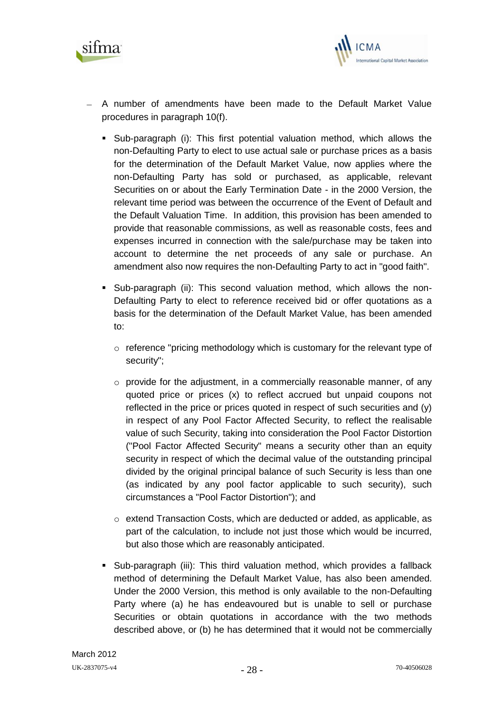



- A number of amendments have been made to the Default Market Value procedures in paragraph 10(f).
	- Sub-paragraph (i): This first potential valuation method, which allows the non-Defaulting Party to elect to use actual sale or purchase prices as a basis for the determination of the Default Market Value, now applies where the non-Defaulting Party has sold or purchased, as applicable, relevant Securities on or about the Early Termination Date - in the 2000 Version, the relevant time period was between the occurrence of the Event of Default and the Default Valuation Time. In addition, this provision has been amended to provide that reasonable commissions, as well as reasonable costs, fees and expenses incurred in connection with the sale/purchase may be taken into account to determine the net proceeds of any sale or purchase. An amendment also now requires the non-Defaulting Party to act in "good faith".
	- Sub-paragraph (ii): This second valuation method, which allows the non-Defaulting Party to elect to reference received bid or offer quotations as a basis for the determination of the Default Market Value, has been amended to:
		- $\circ$  reference "pricing methodology which is customary for the relevant type of security";
		- $\circ$  provide for the adjustment, in a commercially reasonable manner, of any quoted price or prices (x) to reflect accrued but unpaid coupons not reflected in the price or prices quoted in respect of such securities and (y) in respect of any Pool Factor Affected Security, to reflect the realisable value of such Security, taking into consideration the Pool Factor Distortion ("Pool Factor Affected Security" means a security other than an equity security in respect of which the decimal value of the outstanding principal divided by the original principal balance of such Security is less than one (as indicated by any pool factor applicable to such security), such circumstances a "Pool Factor Distortion"); and
		- o extend Transaction Costs, which are deducted or added, as applicable, as part of the calculation, to include not just those which would be incurred, but also those which are reasonably anticipated.
	- Sub-paragraph (iii): This third valuation method, which provides a fallback method of determining the Default Market Value, has also been amended. Under the 2000 Version, this method is only available to the non-Defaulting Party where (a) he has endeavoured but is unable to sell or purchase Securities or obtain quotations in accordance with the two methods described above, or (b) he has determined that it would not be commercially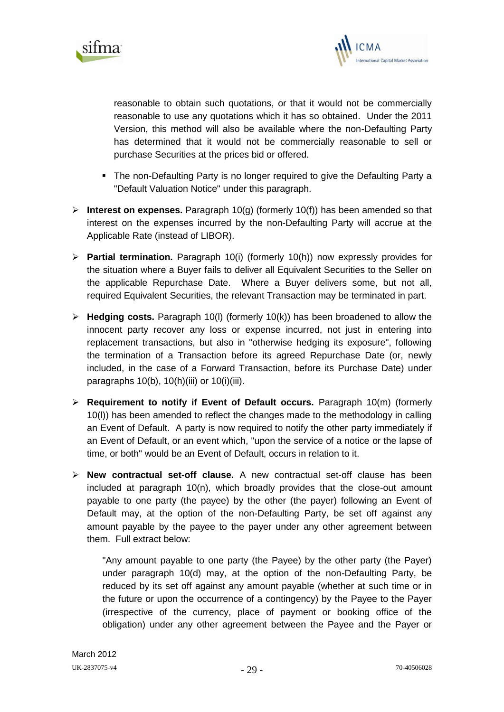



reasonable to obtain such quotations, or that it would not be commercially reasonable to use any quotations which it has so obtained. Under the 2011 Version, this method will also be available where the non-Defaulting Party has determined that it would not be commercially reasonable to sell or purchase Securities at the prices bid or offered.

- The non-Defaulting Party is no longer required to give the Defaulting Party a "Default Valuation Notice" under this paragraph.
- **Interest on expenses.** Paragraph 10(g) (formerly 10(f)) has been amended so that interest on the expenses incurred by the non-Defaulting Party will accrue at the Applicable Rate (instead of LIBOR).
- **Partial termination.** Paragraph 10(i) (formerly 10(h)) now expressly provides for the situation where a Buyer fails to deliver all Equivalent Securities to the Seller on the applicable Repurchase Date. Where a Buyer delivers some, but not all, required Equivalent Securities, the relevant Transaction may be terminated in part.
- **Hedging costs.** Paragraph 10(l) (formerly 10(k)) has been broadened to allow the innocent party recover any loss or expense incurred, not just in entering into replacement transactions, but also in "otherwise hedging its exposure", following the termination of a Transaction before its agreed Repurchase Date (or, newly included, in the case of a Forward Transaction, before its Purchase Date) under paragraphs  $10(b)$ ,  $10(h)(iii)$  or  $10(i)(iii)$ .
- **Requirement to notify if Event of Default occurs.** Paragraph 10(m) (formerly 10(l)) has been amended to reflect the changes made to the methodology in calling an Event of Default. A party is now required to notify the other party immediately if an Event of Default, or an event which, "upon the service of a notice or the lapse of time, or both" would be an Event of Default, occurs in relation to it.
- **New contractual set-off clause.** A new contractual set-off clause has been included at paragraph 10(n), which broadly provides that the close-out amount payable to one party (the payee) by the other (the payer) following an Event of Default may, at the option of the non-Defaulting Party, be set off against any amount payable by the payee to the payer under any other agreement between them. Full extract below:

"Any amount payable to one party (the Payee) by the other party (the Payer) under paragraph 10(d) may, at the option of the non-Defaulting Party, be reduced by its set off against any amount payable (whether at such time or in the future or upon the occurrence of a contingency) by the Payee to the Payer (irrespective of the currency, place of payment or booking office of the obligation) under any other agreement between the Payee and the Payer or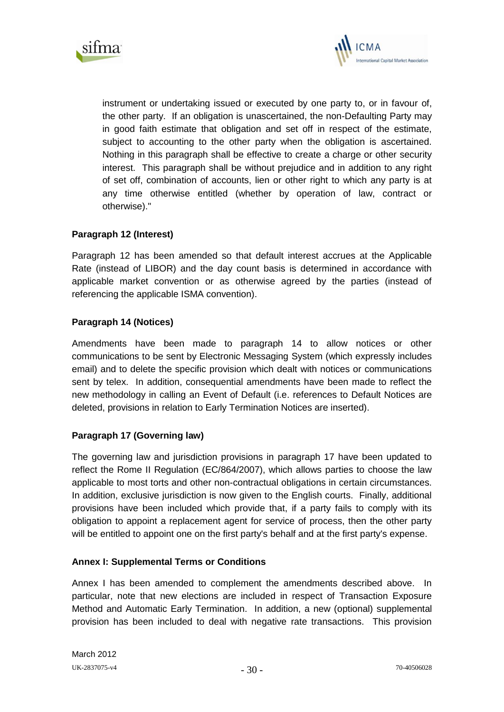



instrument or undertaking issued or executed by one party to, or in favour of, the other party. If an obligation is unascertained, the non-Defaulting Party may in good faith estimate that obligation and set off in respect of the estimate, subject to accounting to the other party when the obligation is ascertained. Nothing in this paragraph shall be effective to create a charge or other security interest. This paragraph shall be without prejudice and in addition to any right of set off, combination of accounts, lien or other right to which any party is at any time otherwise entitled (whether by operation of law, contract or otherwise)."

# **Paragraph 12 (Interest)**

Paragraph 12 has been amended so that default interest accrues at the Applicable Rate (instead of LIBOR) and the day count basis is determined in accordance with applicable market convention or as otherwise agreed by the parties (instead of referencing the applicable ISMA convention).

# **Paragraph 14 (Notices)**

Amendments have been made to paragraph 14 to allow notices or other communications to be sent by Electronic Messaging System (which expressly includes email) and to delete the specific provision which dealt with notices or communications sent by telex. In addition, consequential amendments have been made to reflect the new methodology in calling an Event of Default (i.e. references to Default Notices are deleted, provisions in relation to Early Termination Notices are inserted).

## **Paragraph 17 (Governing law)**

The governing law and jurisdiction provisions in paragraph 17 have been updated to reflect the Rome II Regulation (EC/864/2007), which allows parties to choose the law applicable to most torts and other non-contractual obligations in certain circumstances. In addition, exclusive jurisdiction is now given to the English courts. Finally, additional provisions have been included which provide that, if a party fails to comply with its obligation to appoint a replacement agent for service of process, then the other party will be entitled to appoint one on the first party's behalf and at the first party's expense.

## **Annex I: Supplemental Terms or Conditions**

Annex I has been amended to complement the amendments described above. In particular, note that new elections are included in respect of Transaction Exposure Method and Automatic Early Termination. In addition, a new (optional) supplemental provision has been included to deal with negative rate transactions. This provision